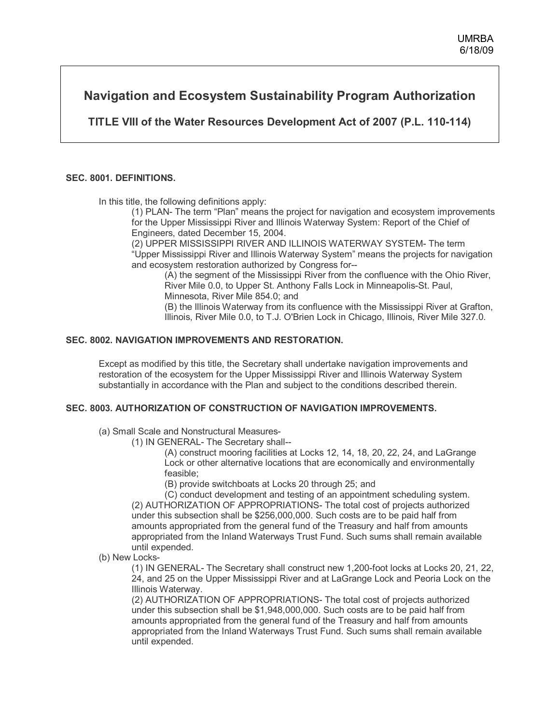# **Navigation and Ecosystem Sustainability Program Authorization**

**TITLE VIII of the Water Resources Development Act of 2007 (P.L. 110-114)** 

## **SEC. 8001. DEFINITIONS.**

In this title, the following definitions apply:

(1) PLAN- The term "Plan" means the project for navigation and ecosystem improvements for the Upper Mississippi River and Illinois Waterway System: Report of the Chief of Engineers, dated December 15, 2004.

(2) UPPER MISSISSIPPI RIVER AND ILLINOIS WATERWAY SYSTEM- The term "Upper Mississippi River and Illinois Waterway System" means the projects for navigation and ecosystem restoration authorized by Congress for--

(A) the segment of the Mississippi River from the confluence with the Ohio River, River Mile 0.0, to Upper St. Anthony Falls Lock in Minneapolis-St. Paul, Minnesota, River Mile 854.0; and

(B) the Illinois Waterway from its confluence with the Mississippi River at Grafton, Illinois, River Mile 0.0, to T.J. O'Brien Lock in Chicago, Illinois, River Mile 327.0.

#### **SEC. 8002. NAVIGATION IMPROVEMENTS AND RESTORATION.**

Except as modified by this title, the Secretary shall undertake navigation improvements and restoration of the ecosystem for the Upper Mississippi River and Illinois Waterway System substantially in accordance with the Plan and subject to the conditions described therein.

## **SEC. 8003. AUTHORIZATION OF CONSTRUCTION OF NAVIGATION IMPROVEMENTS.**

- (a) Small Scale and Nonstructural Measures-
	- (1) IN GENERAL- The Secretary shall--

(A) construct mooring facilities at Locks 12, 14, 18, 20, 22, 24, and LaGrange Lock or other alternative locations that are economically and environmentally feasible;

(B) provide switchboats at Locks 20 through 25; and

(C) conduct development and testing of an appointment scheduling system. (2) AUTHORIZATION OF APPROPRIATIONS- The total cost of projects authorized under this subsection shall be \$256,000,000. Such costs are to be paid half from amounts appropriated from the general fund of the Treasury and half from amounts appropriated from the Inland Waterways Trust Fund. Such sums shall remain available until expended.

(b) New Locks-

(1) IN GENERAL- The Secretary shall construct new 1,200-foot locks at Locks 20, 21, 22, 24, and 25 on the Upper Mississippi River and at LaGrange Lock and Peoria Lock on the Illinois Waterway.

(2) AUTHORIZATION OF APPROPRIATIONS- The total cost of projects authorized under this subsection shall be \$1,948,000,000. Such costs are to be paid half from amounts appropriated from the general fund of the Treasury and half from amounts appropriated from the Inland Waterways Trust Fund. Such sums shall remain available until expended.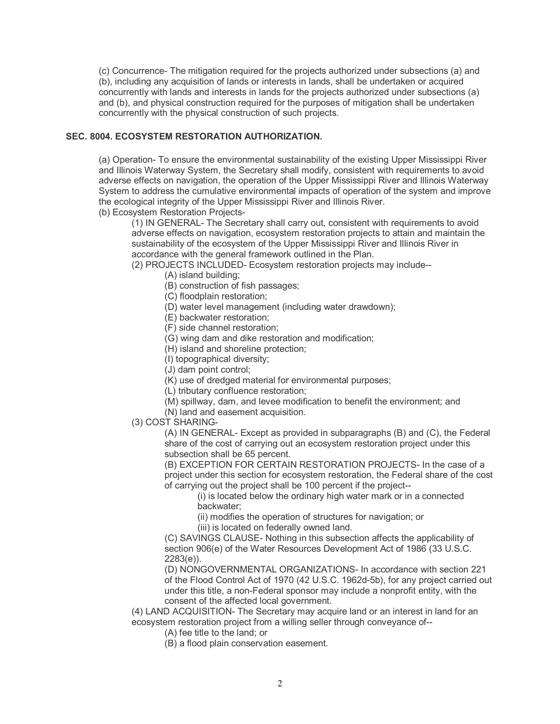(c) Concurrence- The mitigation required for the projects authorized under subsections (a) and (b), including any acquisition of lands or interests in lands, shall be undertaken or acquired concurrently with lands and interests in lands for the projects authorized under subsections (a) and (b), and physical construction required for the purposes of mitigation shall be undertaken concurrently with the physical construction of such projects.

## **SEC. 8004. ECOSYSTEM RESTORATION AUTHORIZATION.**

(a) Operation- To ensure the environmental sustainability of the existing Upper Mississippi River and Illinois Waterway System, the Secretary shall modify, consistent with requirements to avoid adverse effects on navigation, the operation of the Upper Mississippi River and Illinois Waterway System to address the cumulative environmental impacts of operation of the system and improve the ecological integrity of the Upper Mississippi River and Illinois River. (b) Ecosystem Restoration Projects-

(1) IN GENERAL- The Secretary shall carry out, consistent with requirements to avoid adverse effects on navigation, ecosystem restoration projects to attain and maintain the sustainability of the ecosystem of the Upper Mississippi River and Illinois River in accordance with the general framework outlined in the Plan.

(2) PROJECTS INCLUDED- Ecosystem restoration projects may include--

(A) island building;

(B) construction of fish passages;

(C) floodplain restoration;

(D) water level management (including water drawdown);

(E) backwater restoration;

(F) side channel restoration;

(G) wing dam and dike restoration and modification;

(H) island and shoreline protection;

(I) topographical diversity;

(J) dam point control;

(K) use of dredged material for environmental purposes;

(L) tributary confluence restoration;

(M) spillway, dam, and levee modification to benefit the environment; and

(N) land and easement acquisition.

(3) COST SHARING-

(A) IN GENERAL- Except as provided in subparagraphs (B) and (C), the Federal share of the cost of carrying out an ecosystem restoration project under this subsection shall be 65 percent.

(B) EXCEPTION FOR CERTAIN RESTORATION PROJECTS- In the case of a project under this section for ecosystem restoration, the Federal share of the cost of carrying out the project shall be 100 percent if the project--

(i) is located below the ordinary high water mark or in a connected backwater;

(ii) modifies the operation of structures for navigation; or

(iii) is located on federally owned land.

(C) SAVINGS CLAUSE- Nothing in this subsection affects the applicability of section 906(e) of the Water Resources Development Act of 1986 (33 U.S.C. 2283(e)).

(D) NONGOVERNMENTAL ORGANIZATIONS- In accordance with section 221 of the Flood Control Act of 1970 (42 U.S.C. 1962d-5b), for any project carried out under this title, a non-Federal sponsor may include a nonprofit entity, with the consent of the affected local government.

(4) LAND ACQUISITION- The Secretary may acquire land or an interest in land for an ecosystem restoration project from a willing seller through conveyance of--

(A) fee title to the land; or

(B) a flood plain conservation easement.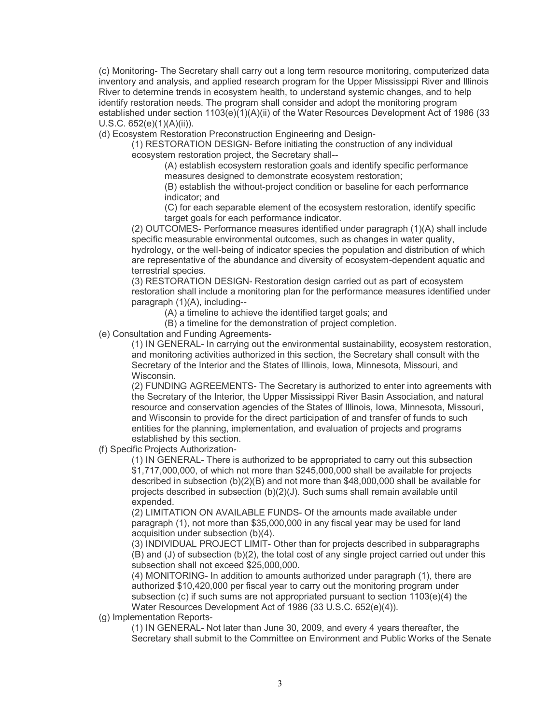(c) Monitoring- The Secretary shall carry out a long term resource monitoring, computerized data inventory and analysis, and applied research program for the Upper Mississippi River and Illinois River to determine trends in ecosystem health, to understand systemic changes, and to help identify restoration needs. The program shall consider and adopt the monitoring program established under section 1103(e)(1)(A)(ii) of the Water Resources Development Act of 1986 (33 U.S.C. 652(e)(1)(A)(ii)).

(d) Ecosystem Restoration Preconstruction Engineering and Design-

(1) RESTORATION DESIGN- Before initiating the construction of any individual ecosystem restoration project, the Secretary shall--

(A) establish ecosystem restoration goals and identify specific performance measures designed to demonstrate ecosystem restoration;

(B) establish the without-project condition or baseline for each performance indicator; and

(C) for each separable element of the ecosystem restoration, identify specific target goals for each performance indicator.

(2) OUTCOMES- Performance measures identified under paragraph (1)(A) shall include specific measurable environmental outcomes, such as changes in water quality, hydrology, or the well-being of indicator species the population and distribution of which are representative of the abundance and diversity of ecosystem-dependent aquatic and terrestrial species.

(3) RESTORATION DESIGN- Restoration design carried out as part of ecosystem restoration shall include a monitoring plan for the performance measures identified under paragraph (1)(A), including--

(A) a timeline to achieve the identified target goals; and

(B) a timeline for the demonstration of project completion.

(e) Consultation and Funding Agreements-

(1) IN GENERAL- In carrying out the environmental sustainability, ecosystem restoration, and monitoring activities authorized in this section, the Secretary shall consult with the Secretary of the Interior and the States of Illinois, Iowa, Minnesota, Missouri, and Wisconsin.

(2) FUNDING AGREEMENTS- The Secretary is authorized to enter into agreements with the Secretary of the Interior, the Upper Mississippi River Basin Association, and natural resource and conservation agencies of the States of Illinois, Iowa, Minnesota, Missouri, and Wisconsin to provide for the direct participation of and transfer of funds to such entities for the planning, implementation, and evaluation of projects and programs established by this section.

(f) Specific Projects Authorization-

(1) IN GENERAL- There is authorized to be appropriated to carry out this subsection \$1,717,000,000, of which not more than \$245,000,000 shall be available for projects described in subsection (b)(2)(B) and not more than \$48,000,000 shall be available for projects described in subsection (b)(2)(J). Such sums shall remain available until expended.

(2) LIMITATION ON AVAILABLE FUNDS- Of the amounts made available under paragraph (1), not more than \$35,000,000 in any fiscal year may be used for land acquisition under subsection (b)(4).

(3) INDIVIDUAL PROJECT LIMIT- Other than for projects described in subparagraphs  $(B)$  and  $(J)$  of subsection  $(b)(2)$ , the total cost of any single project carried out under this subsection shall not exceed \$25,000,000.

(4) MONITORING- In addition to amounts authorized under paragraph (1), there are authorized \$10,420,000 per fiscal year to carry out the monitoring program under subsection (c) if such sums are not appropriated pursuant to section 1103(e)(4) the Water Resources Development Act of 1986 (33 U.S.C. 652(e)(4)).

(g) Implementation Reports-

(1) IN GENERAL- Not later than June 30, 2009, and every 4 years thereafter, the Secretary shall submit to the Committee on Environment and Public Works of the Senate